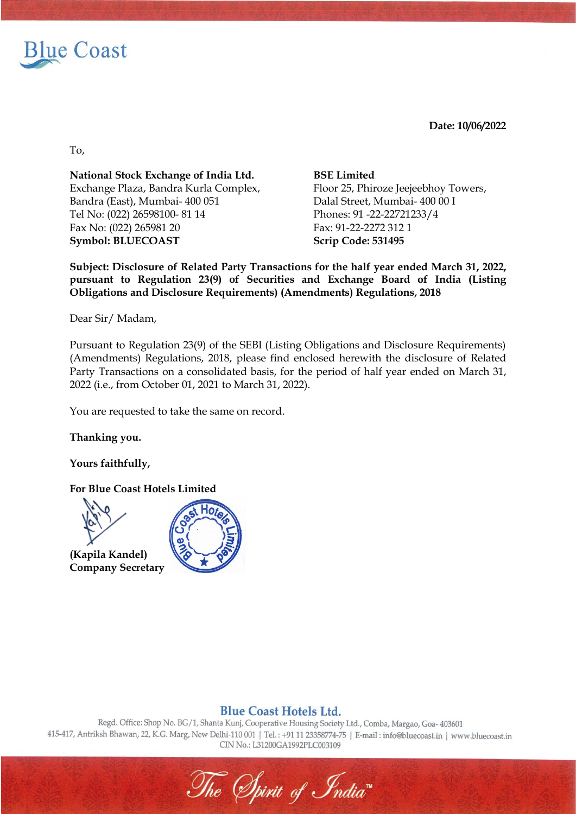

**Date: 10/06/2022** 

To,

**National Stock Exchange of India Ltd. BSE Limited** Exchange Plaza, Bandra Kurla Complex, Floor 25, Phiroze Jeejeebhoy Towers, Bandra (East), Mumbai- 400 051 Dalal Street, Mumbai- 400 00 I Tel No: (022) 26598100- 81 14 Phones: 91 -22-22721233/4 Fax No: (022) 265981 20 Fax: 91-22-2272 312 1 **Symbol: BLUECOAST Scrip Code: 531495**

**Subject: Disclosure of Related Party Transactions for the half year ended March 31, 2022, pursuant to Regulation 23(9) of Securities and Exchange Board of India (Listing Obligations and Disclosure Requirements) (Amendments) Regulations, 2018**

Dear Sir/ Madam,

Pursuant to Regulation 23(9) of the SEBI (Listing Obligations and Disclosure Requirements) (Amendments) Regulations, 2018, please find enclosed herewith the disclosure of Related Party Transactions on a consolidated basis, for the period of half year ended on March 31, 2022 (i.e., from October 01, 2021 to March 31, 2022).

You are requested to take the same on record.

**Thanking you.**

**Yours faithfully,**

**For Blue Coast Hotels Limited**



**(Kapila Kandel) Company Secretary**



## **Blue Coast Hotels Ltd.**

Regd. Office: Shop No. BG/1, Shanta Kunj, Cooperative Housing Society Ltd., Comba, Margao, Goa- 403601 415-417, Antriksh Bhawan, 22, K.G. Marg, New Delhi-110 001 | Tel.: +91 11 23358774-75 | E-mail: info@bluecoast.in | www.bluecoast.in CIN No.: L31200GA1992PLC003109

The Spirit of India